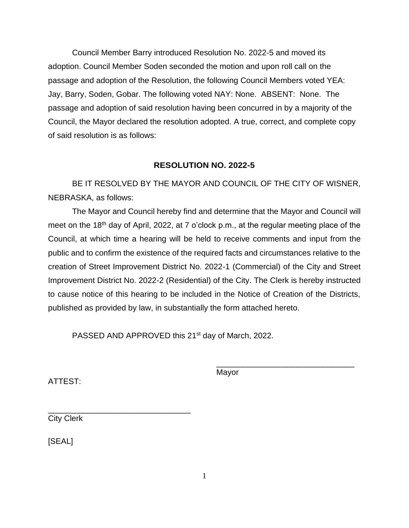Council Member Barry introduced Resolution No. 2022-5 and moved its adoption. Council Member Soden seconded the motion and upon roll call on the passage and adoption of the Resolution, the following Council Members voted YEA: Jay, Barry, Soden, Gobar. The following voted NAY: None. ABSENT: None. The passage and adoption of said resolution having been concurred in by a majority of the Council, the Mayor declared the resolution adopted. A true, correct, and complete copy of said resolution is as follows:

## **RESOLUTION NO. 2022-5**

BE IT RESOLVED BY THE MAYOR AND COUNCIL OF THE CITY OF WISNER, NEBRASKA, as follows:

The Mayor and Council hereby find and determine that the Mayor and Council will meet on the 18<sup>th</sup> day of April, 2022, at 7 o'clock p.m., at the regular meeting place of the Council, at which time a hearing will be held to receive comments and input from the public and to confirm the existence of the required facts and circumstances relative to the creation of Street Improvement District No. 2022-1 (Commercial) of the City and Street Improvement District No. 2022-2 (Residential) of the City. The Clerk is hereby instructed to cause notice of this hearing to be included in the Notice of Creation of the Districts, published as provided by law, in substantially the form attached hereto.

PASSED AND APPROVED this 21<sup>st</sup> day of March, 2022.

ATTEST:

Mayor

\_\_\_\_\_\_\_\_\_\_\_\_\_\_\_\_\_\_\_\_\_\_\_\_\_\_\_\_\_\_\_

\_\_\_\_\_\_\_\_\_\_\_\_\_\_\_\_\_\_\_\_\_\_\_\_\_\_\_\_\_\_\_\_ City Clerk

[SEAL]